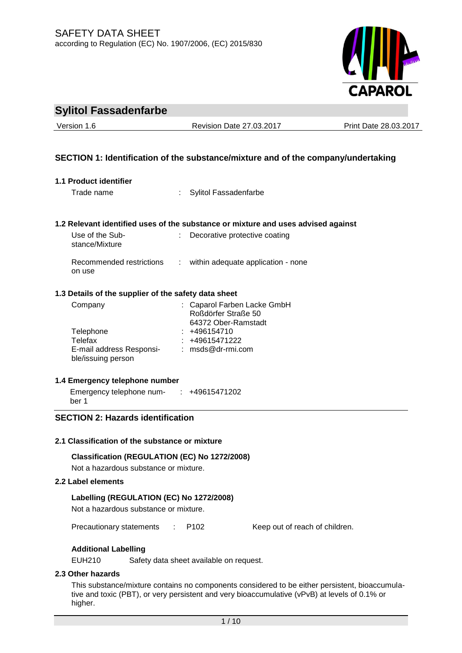

| <b>Sylitol Fassadenfarbe</b> |  |
|------------------------------|--|
|------------------------------|--|

Version 1.6 Revision Date 27.03.2017 Print Date 28.03.2017

# **SECTION 1: Identification of the substance/mixture and of the company/undertaking**

| 1.1 Product identifier                                           |                |                                                                                   |  |  |
|------------------------------------------------------------------|----------------|-----------------------------------------------------------------------------------|--|--|
| Trade name                                                       |                | <b>Sylitol Fassadenfarbe</b>                                                      |  |  |
|                                                                  |                |                                                                                   |  |  |
|                                                                  |                |                                                                                   |  |  |
|                                                                  |                | 1.2 Relevant identified uses of the substance or mixture and uses advised against |  |  |
| Use of the Sub-<br>stance/Mixture                                |                | Decorative protective coating                                                     |  |  |
| Recommended restrictions<br>on use                               | $\mathbb{R}^n$ | within adequate application - none                                                |  |  |
| 1.3 Details of the supplier of the safety data sheet             |                |                                                                                   |  |  |
| Company                                                          |                | Caparol Farben Lacke GmbH<br>Roßdörfer Straße 50<br>64372 Ober-Ramstadt           |  |  |
| Telephone                                                        |                | $: +496154710$                                                                    |  |  |
| Telefax                                                          |                | $: +49615471222$                                                                  |  |  |
| E-mail address Responsi- : msds@dr-rmi.com<br>ble/issuing person |                |                                                                                   |  |  |
| 1.4 Emergency telephone number                                   |                |                                                                                   |  |  |
| Emergency telephone num- : +49615471202<br>ber 1                 |                |                                                                                   |  |  |
| <b>SECTION 2: Hazards identification</b>                         |                |                                                                                   |  |  |
| 2.1 Classification of the substance or mixture                   |                |                                                                                   |  |  |

**Classification (REGULATION (EC) No 1272/2008)** Not a hazardous substance or mixture.

# **2.2 Label elements**

# **Labelling (REGULATION (EC) No 1272/2008)**

Not a hazardous substance or mixture.

Precautionary statements : P102 Keep out of reach of children.

# **Additional Labelling**

EUH210 Safety data sheet available on request.

# **2.3 Other hazards**

This substance/mixture contains no components considered to be either persistent, bioaccumulative and toxic (PBT), or very persistent and very bioaccumulative (vPvB) at levels of 0.1% or higher.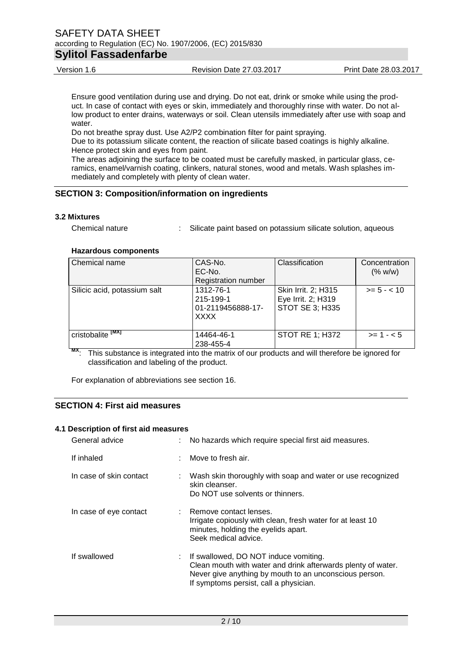Ensure good ventilation during use and drying. Do not eat, drink or smoke while using the product. In case of contact with eyes or skin, immediately and thoroughly rinse with water. Do not allow product to enter drains, waterways or soil. Clean utensils immediately after use with soap and water.

Do not breathe spray dust. Use A2/P2 combination filter for paint spraying.

Due to its potassium silicate content, the reaction of silicate based coatings is highly alkaline. Hence protect skin and eyes from paint.

The areas adjoining the surface to be coated must be carefully masked, in particular glass, ceramics, enamel/varnish coating, clinkers, natural stones, wood and metals. Wash splashes immediately and completely with plenty of clean water.

# **SECTION 3: Composition/information on ingredients**

#### **3.2 Mixtures**

Chemical nature : Silicate paint based on potassium silicate solution, aqueous

#### **Hazardous components**

| Chemical name                     | CAS-No.<br>EC-No.<br><b>Registration number</b>            | Classification                                                      | Concentration<br>(% w/w) |
|-----------------------------------|------------------------------------------------------------|---------------------------------------------------------------------|--------------------------|
| Silicic acid, potassium salt      | 1312-76-1<br>215-199-1<br>01-2119456888-17-<br><b>XXXX</b> | Skin Irrit. 2; H315<br>Eye Irrit. 2; H319<br><b>STOT SE 3; H335</b> | $>= 5 - < 10$            |
| cristobalite <sup>TMXT</sup><br>w | 14464-46-1<br>238-455-4                                    | <b>STOT RE 1; H372</b>                                              | $>= 1 - 5$               |

**MX**: This substance is integrated into the matrix of our products and will therefore be ignored for classification and labeling of the product.

For explanation of abbreviations see section 16.

# **SECTION 4: First aid measures**

#### **4.1 Description of first aid measures**

| General advice          | : No hazards which require special first aid measures.                                                                                                                                                      |
|-------------------------|-------------------------------------------------------------------------------------------------------------------------------------------------------------------------------------------------------------|
| If inhaled              | $\therefore$ Move to fresh air.                                                                                                                                                                             |
| In case of skin contact | : Wash skin thoroughly with soap and water or use recognized<br>skin cleanser.<br>Do NOT use solvents or thinners.                                                                                          |
| In case of eye contact  | : Remove contact lenses.<br>Irrigate copiously with clean, fresh water for at least 10<br>minutes, holding the eyelids apart.<br>Seek medical advice.                                                       |
| If swallowed            | : If swallowed, DO NOT induce vomiting.<br>Clean mouth with water and drink afterwards plenty of water.<br>Never give anything by mouth to an unconscious person.<br>If symptoms persist, call a physician. |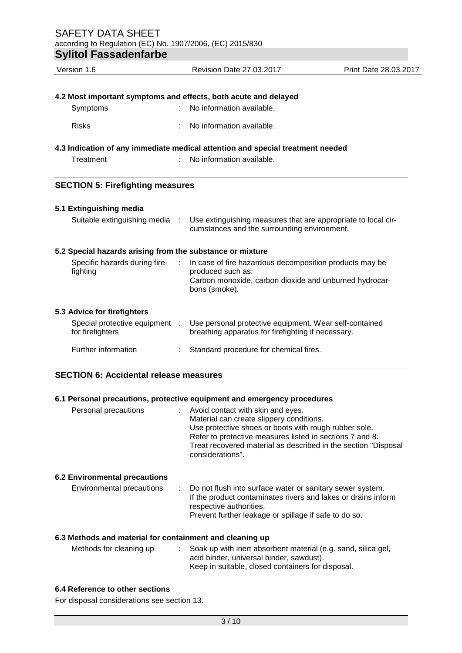| Version 1.6                                                     |                             | Revision Date 27.03.2017                                                                                                                                | Print Date 28.03.2017 |  |
|-----------------------------------------------------------------|-----------------------------|---------------------------------------------------------------------------------------------------------------------------------------------------------|-----------------------|--|
|                                                                 |                             |                                                                                                                                                         |                       |  |
| 4.2 Most important symptoms and effects, both acute and delayed |                             |                                                                                                                                                         |                       |  |
| Symptoms                                                        |                             | No information available.                                                                                                                               |                       |  |
| <b>Risks</b>                                                    |                             | No information available.                                                                                                                               |                       |  |
|                                                                 |                             | 4.3 Indication of any immediate medical attention and special treatment needed                                                                          |                       |  |
| Treatment                                                       |                             | No information available.                                                                                                                               |                       |  |
| <b>SECTION 5: Firefighting measures</b>                         |                             |                                                                                                                                                         |                       |  |
| 5.1 Extinguishing media                                         |                             |                                                                                                                                                         |                       |  |
| Suitable extinguishing media                                    | ÷                           | Use extinguishing measures that are appropriate to local cir-<br>cumstances and the surrounding environment.                                            |                       |  |
| 5.2 Special hazards arising from the substance or mixture       |                             |                                                                                                                                                         |                       |  |
| Specific hazards during fire-<br>fighting                       | $\mathcal{L}^{\mathcal{L}}$ | In case of fire hazardous decomposition products may be<br>produced such as:<br>Carbon monoxide, carbon dioxide and unburned hydrocar-<br>bons (smoke). |                       |  |
| 5.3 Advice for firefighters                                     |                             |                                                                                                                                                         |                       |  |
| Special protective equipment :<br>for firefighters              |                             | Use personal protective equipment. Wear self-contained<br>breathing apparatus for firefighting if necessary.                                            |                       |  |
| Further information                                             |                             | Standard procedure for chemical fires.                                                                                                                  |                       |  |

# **SECTION 6: Accidental release measures**

# **6.1 Personal precautions, protective equipment and emergency procedures**

| Personal precautions                 | Avoid contact with skin and eyes.<br>Material can create slippery conditions.<br>Use protective shoes or boots with rough rubber sole.<br>Refer to protective measures listed in sections 7 and 8.<br>Treat recovered material as described in the section "Disposal<br>considerations". |
|--------------------------------------|------------------------------------------------------------------------------------------------------------------------------------------------------------------------------------------------------------------------------------------------------------------------------------------|
| <b>6.2 Environmental precautions</b> |                                                                                                                                                                                                                                                                                          |
| Environmental precautions            | : Do not flush into surface water or sanitary sewer system.<br>If the product contaminates rivers and lakes or drains inform<br>respective authorities.<br>Prevent further leakage or spillage if safe to do so.                                                                         |

# **6.3 Methods and material for containment and cleaning up**

| : Soak up with inert absorbent material (e.g. sand, silica gel, |
|-----------------------------------------------------------------|
| acid binder, universal binder, sawdust).                        |
| Keep in suitable, closed containers for disposal.               |
|                                                                 |

# **6.4 Reference to other sections**

For disposal considerations see section 13.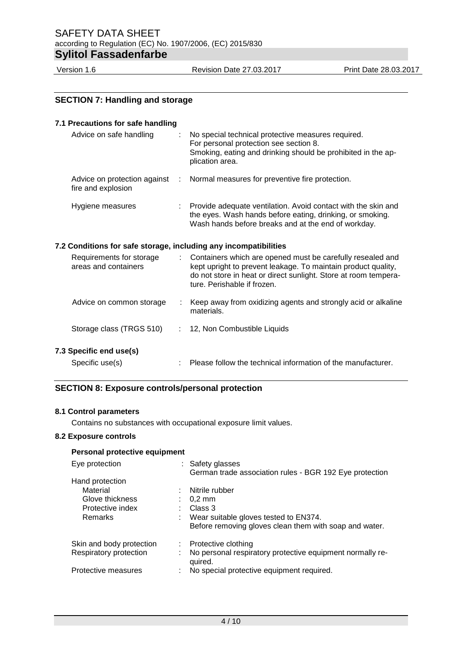SAFETY DATA SHEET according to Regulation (EC) No. 1907/2006, (EC) 2015/830 **Sylitol Fassadenfarbe**

Version 1.6 Revision Date 27.03.2017 Print Date 28.03.2017

# **SECTION 7: Handling and storage 7.1 Precautions for safe handling** Advice on safe handling : No special technical protective measures required. For personal protection see section 8. Smoking, eating and drinking should be prohibited in the application area. Advice on protection against fire and explosion : Normal measures for preventive fire protection. Hygiene measures : Provide adequate ventilation. Avoid contact with the skin and the eyes. Wash hands before eating, drinking, or smoking. Wash hands before breaks and at the end of workday. **7.2 Conditions for safe storage, including any incompatibilities** Requirements for storage areas and containers : Containers which are opened must be carefully resealed and kept upright to prevent leakage. To maintain product quality, do not store in heat or direct sunlight. Store at room temperature. Perishable if frozen. Advice on common storage : Keep away from oxidizing agents and strongly acid or alkaline materials. Storage class (TRGS 510) : 12, Non Combustible Liquids **7.3 Specific end use(s)** Specific use(s) : Please follow the technical information of the manufacturer.

# **SECTION 8: Exposure controls/personal protection**

#### **8.1 Control parameters**

Contains no substances with occupational exposure limit values.

### **8.2 Exposure controls**

# **Personal protective equipment**

| Eye protection              | : Safety glasses<br>German trade association rules - BGR 192 Eye protection |
|-----------------------------|-----------------------------------------------------------------------------|
| Hand protection             |                                                                             |
| Material                    | Nitrile rubber                                                              |
| Glove thickness             | $0.2 \text{ mm}$                                                            |
| Protective index            | Class 3                                                                     |
| Remarks                     | Wear suitable gloves tested to EN374.                                       |
|                             | Before removing gloves clean them with soap and water.                      |
| Skin and body protection    | Protective clothing<br>t.                                                   |
| Respiratory protection<br>÷ | No personal respiratory protective equipment normally re-<br>quired.        |
| Protective measures         | No special protective equipment required.                                   |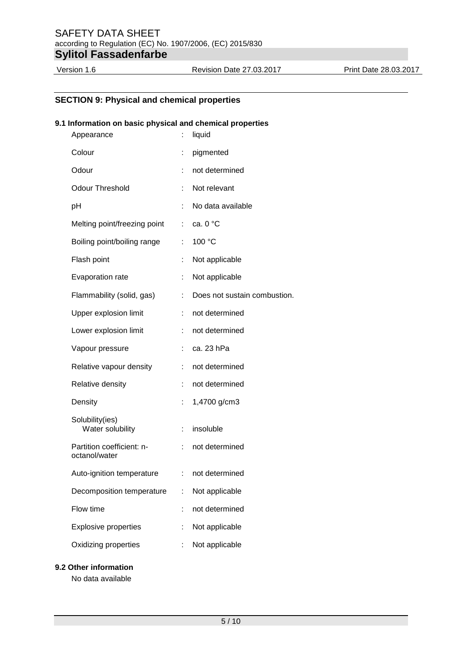# **SECTION 9: Physical and chemical properties**

#### **9.1 Information on basic physical and chemical properties**

| Appearance                                 | t                         | liquid                       |
|--------------------------------------------|---------------------------|------------------------------|
| Colour                                     | t                         | pigmented                    |
| Odour                                      |                           | not determined               |
| <b>Odour Threshold</b>                     |                           | Not relevant                 |
| рH                                         | ÷                         | No data available            |
| Melting point/freezing point               | $\mathbb{Z}^{\mathbb{Z}}$ | ca. 0 °C                     |
| Boiling point/boiling range                | ÷                         | 100 °C                       |
| Flash point                                |                           | Not applicable               |
| Evaporation rate                           |                           | Not applicable               |
| Flammability (solid, gas)                  |                           | Does not sustain combustion. |
| Upper explosion limit                      |                           | not determined               |
| Lower explosion limit                      | ÷                         | not determined               |
| Vapour pressure                            |                           | ca. 23 hPa                   |
| Relative vapour density                    |                           | not determined               |
| Relative density                           |                           | not determined               |
| Density                                    | t.                        | 1,4700 g/cm3                 |
| Solubility(ies)<br>Water solubility        | ÷.                        | insoluble                    |
| Partition coefficient: n-<br>octanol/water | t.                        | not determined               |
| Auto-ignition temperature                  | ÷,                        | not determined               |
| Decomposition temperature                  |                           | Not applicable               |
| Flow time                                  |                           | not determined               |
| <b>Explosive properties</b>                |                           | Not applicable               |
| Oxidizing properties                       |                           | Not applicable               |

**9.2 Other information**

No data available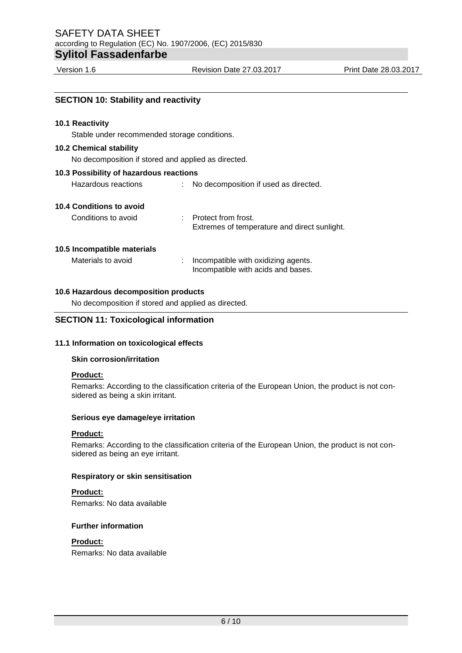| <b>SECTION 10: Stability and reactivity</b>         |                                                                           |
|-----------------------------------------------------|---------------------------------------------------------------------------|
| <b>10.1 Reactivity</b>                              |                                                                           |
| Stable under recommended storage conditions.        |                                                                           |
| <b>10.2 Chemical stability</b>                      |                                                                           |
| No decomposition if stored and applied as directed. |                                                                           |
| 10.3 Possibility of hazardous reactions             |                                                                           |
| Hazardous reactions                                 | : No decomposition if used as directed.                                   |
| 10.4 Conditions to avoid                            |                                                                           |
| Conditions to avoid                                 | : Protect from frost.<br>Extremes of temperature and direct sunlight.     |
| 10.5 Incompatible materials                         |                                                                           |
| Materials to avoid                                  | Incompatible with oxidizing agents.<br>Incompatible with acids and bases. |
| 10 6 Hazardous decomposition products               |                                                                           |

# **10.6 Hazardous decomposition products**

No decomposition if stored and applied as directed.

### **SECTION 11: Toxicological information**

# **11.1 Information on toxicological effects**

#### **Skin corrosion/irritation**

#### **Product:**

Remarks: According to the classification criteria of the European Union, the product is not considered as being a skin irritant.

#### **Serious eye damage/eye irritation**

# **Product:**

Remarks: According to the classification criteria of the European Union, the product is not considered as being an eye irritant.

#### **Respiratory or skin sensitisation**

# **Product:**

Remarks: No data available

### **Further information**

# **Product:**

Remarks: No data available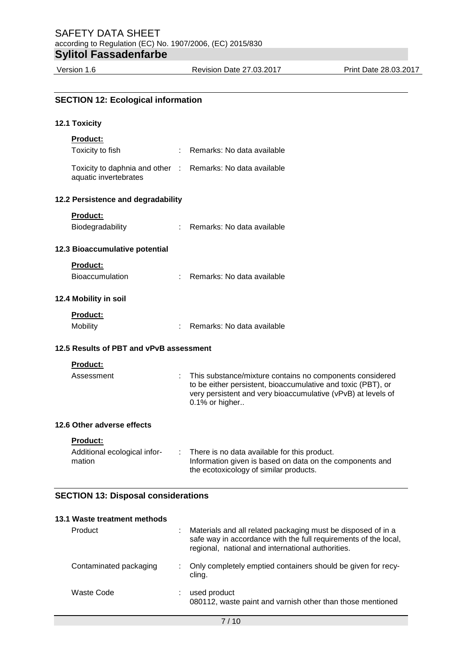Version 1.6 Revision Date 27.03.2017 Print Date 28.03.2017

| <b>SECTION 12: Ecological information</b>                                           |                                                                                                                                                                                                            |
|-------------------------------------------------------------------------------------|------------------------------------------------------------------------------------------------------------------------------------------------------------------------------------------------------------|
| 12.1 Toxicity                                                                       |                                                                                                                                                                                                            |
| <b>Product:</b>                                                                     |                                                                                                                                                                                                            |
| Toxicity to fish                                                                    | : Remarks: No data available                                                                                                                                                                               |
| Toxicity to daphnia and other : Remarks: No data available<br>aquatic invertebrates |                                                                                                                                                                                                            |
| 12.2 Persistence and degradability                                                  |                                                                                                                                                                                                            |
| Product:                                                                            |                                                                                                                                                                                                            |
| Biodegradability                                                                    | : Remarks: No data available                                                                                                                                                                               |
| 12.3 Bioaccumulative potential                                                      |                                                                                                                                                                                                            |
| <b>Product:</b>                                                                     |                                                                                                                                                                                                            |
| Bioaccumulation                                                                     | : Remarks: No data available                                                                                                                                                                               |
| 12.4 Mobility in soil                                                               |                                                                                                                                                                                                            |
| <b>Product:</b>                                                                     |                                                                                                                                                                                                            |
| Mobility                                                                            | : Remarks: No data available                                                                                                                                                                               |
| 12.5 Results of PBT and vPvB assessment                                             |                                                                                                                                                                                                            |
| <b>Product:</b>                                                                     |                                                                                                                                                                                                            |
| Assessment                                                                          | This substance/mixture contains no components considered<br>to be either persistent, bioaccumulative and toxic (PBT), or<br>very persistent and very bioaccumulative (vPvB) at levels of<br>0.1% or higher |
| 12.6 Other adverse effects                                                          |                                                                                                                                                                                                            |
| Product:                                                                            |                                                                                                                                                                                                            |
| Additional ecological infor-<br>mation                                              | There is no data available for this product.<br>Information given is based on data on the components and<br>the ecotoxicology of similar products.                                                         |
| <b>SECTION 13: Disposal considerations</b>                                          |                                                                                                                                                                                                            |

| 13.1 Waste treatment methods |                                                                                                                                                                                      |
|------------------------------|--------------------------------------------------------------------------------------------------------------------------------------------------------------------------------------|
| Product                      | Materials and all related packaging must be disposed of in a<br>safe way in accordance with the full requirements of the local,<br>regional, national and international authorities. |
| Contaminated packaging       | Only completely emptied containers should be given for recy-<br>cling.                                                                                                               |
| Waste Code                   | used product<br>080112, waste paint and varnish other than those mentioned                                                                                                           |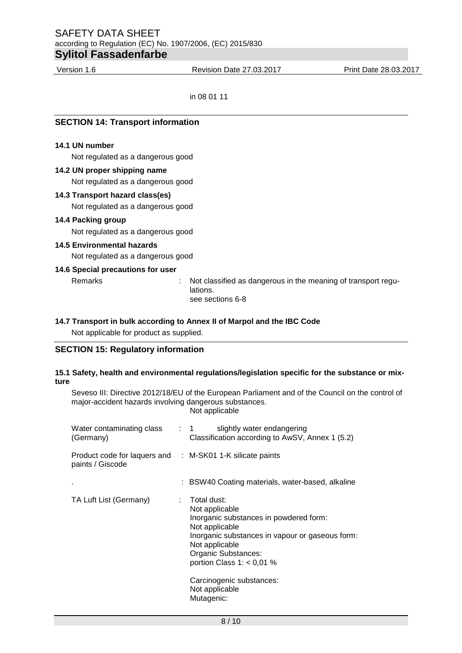Version 1.6 Revision Date 27.03.2017 Print Date 28.03.2017

in 08 01 11

| <b>SECTION 14: Transport information</b> |                                                                                               |  |  |
|------------------------------------------|-----------------------------------------------------------------------------------------------|--|--|
| 14.1 UN number                           |                                                                                               |  |  |
| Not regulated as a dangerous good        |                                                                                               |  |  |
| 14.2 UN proper shipping name             |                                                                                               |  |  |
| Not regulated as a dangerous good        |                                                                                               |  |  |
| 14.3 Transport hazard class(es)          |                                                                                               |  |  |
| Not regulated as a dangerous good        |                                                                                               |  |  |
| 14.4 Packing group                       |                                                                                               |  |  |
| Not regulated as a dangerous good        |                                                                                               |  |  |
| <b>14.5 Environmental hazards</b>        |                                                                                               |  |  |
| Not regulated as a dangerous good        |                                                                                               |  |  |
| 14.6 Special precautions for user        |                                                                                               |  |  |
| Remarks                                  | Not classified as dangerous in the meaning of transport regu-<br>lations.<br>see sections 6-8 |  |  |

# **14.7 Transport in bulk according to Annex II of Marpol and the IBC Code**

Not applicable for product as supplied.

# **SECTION 15: Regulatory information**

### **15.1 Safety, health and environmental regulations/legislation specific for the substance or mixture**

Seveso III: Directive 2012/18/EU of the European Parliament and of the Council on the control of major-accident hazards involving dangerous substances. Not applicable

| Water contaminating class<br>(Germany)                                        | slightly water endangering<br>$\therefore$ 1<br>Classification according to AwSV, Annex 1 (5.2)                                                                                                                                                                                  |
|-------------------------------------------------------------------------------|----------------------------------------------------------------------------------------------------------------------------------------------------------------------------------------------------------------------------------------------------------------------------------|
| Product code for laquers and : M-SK01 1-K silicate paints<br>paints / Giscode |                                                                                                                                                                                                                                                                                  |
|                                                                               | : BSW40 Coating materials, water-based, alkaline                                                                                                                                                                                                                                 |
| TA Luft List (Germany)                                                        | Total dust:<br>Not applicable<br>Inorganic substances in powdered form:<br>Not applicable<br>Inorganic substances in vapour or gaseous form:<br>Not applicable<br>Organic Substances:<br>portion Class $1: < 0.01$ %<br>Carcinogenic substances:<br>Not applicable<br>Mutagenic: |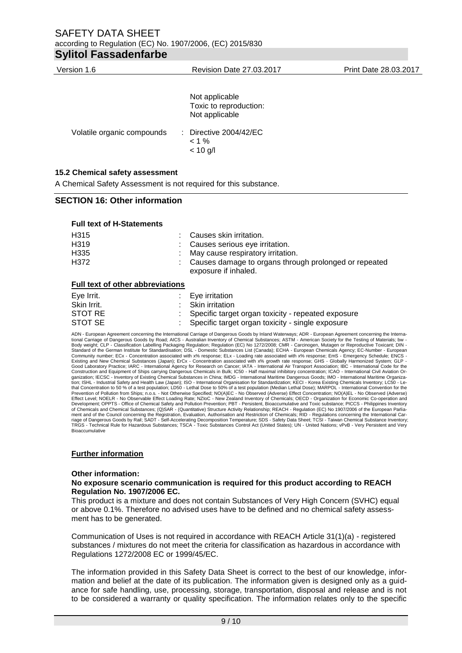# SAFETY DATA SHEET according to Regulation (EC) No. 1907/2006, (EC) 2015/830 **Sylitol Fassadenfarbe**

| Version 1.6                         | <b>Revision Date 27.03.2017</b>                            | Print Date 28.03.2017 |
|-------------------------------------|------------------------------------------------------------|-----------------------|
|                                     |                                                            |                       |
|                                     | Not applicable<br>Toxic to reproduction:<br>Not applicable |                       |
| Volatile organic compounds          | : Directive $2004/42$ /EC<br>$< 1 \%$<br>$< 10$ g/l        |                       |
| $AE2$ Chamical assetutes assessment |                                                            |                       |

#### **15.2 Chemical safety assessment**

A Chemical Safety Assessment is not required for this substance.

### **SECTION 16: Other information**

#### **Full text of H-Statements**

| H315 | : Causes skin irritation.                                                       |
|------|---------------------------------------------------------------------------------|
| H319 | : Causes serious eye irritation.                                                |
| H335 | : May cause respiratory irritation.                                             |
| H372 | : Causes damage to organs through prolonged or repeated<br>exposure if inhaled. |

### **Full text of other abbreviations**

| Eye Irrit.  | $\therefore$ Eye irritation                          |
|-------------|------------------------------------------------------|
| Skin Irrit. | : Skin irritation                                    |
| STOT RE     | : Specific target organ toxicity - repeated exposure |
| STOT SE     | : Specific target organ toxicity - single exposure   |

ADN - European Agreement concerning the International Carriage of Dangerous Goods by Inland Waterways; ADR - European Agreement concerning the Interna-<br>tional Carriage of Dangerous Goods by Road; AICS - Australian Inventor Community number; ECx - Concentration associated with x% response; ELx - Loading rate associated with x% response; EmS - Emergency Schedule; ENCS -<br>Existing and New Chemical Substances (Japan); ErCx - Concentration associa Construction and Equipment of Ships carrying Dangerous Chemicals in Bulk; IC50 - Half maximal inhibitory concentration; ICAO - International Civil Aviation Organization; IECSC - Inventory of Existing Chemical Substances in China; IMDG - International Maritime Dangerous Goods; IMO - International Maritime Organiza-<br>tion; ISHL - Industrial Safety and Health Law (Japan); ISO - Int of Chemicals and Chemical Substances; (Q)SAR - (Quantitative) Structure Activity Relationship; REACH - Regulation (EC) No 1907/2006 of the European Parliament and of the Council concerning the Registration, Evaluation, Authorisation and Restriction of Chemicals; RID - Regulations concerning the International Car-<br>riage of Dangerous Goods by Rail; SADT - Self-Acceleration De Bioaccumulative

#### **Further information**

#### **Other information:**

#### **No exposure scenario communication is required for this product according to REACH Regulation No. 1907/2006 EC.**

This product is a mixture and does not contain Substances of Very High Concern (SVHC) equal or above 0.1%. Therefore no advised uses have to be defined and no chemical safety assessment has to be generated.

Communication of Uses is not required in accordance with REACH Article 31(1)(a) - registered substances / mixtures do not meet the criteria for classification as hazardous in accordance with Regulations 1272/2008 EC or 1999/45/EC.

The information provided in this Safety Data Sheet is correct to the best of our knowledge, information and belief at the date of its publication. The information given is designed only as a guidance for safe handling, use, processing, storage, transportation, disposal and release and is not to be considered a warranty or quality specification. The information relates only to the specific